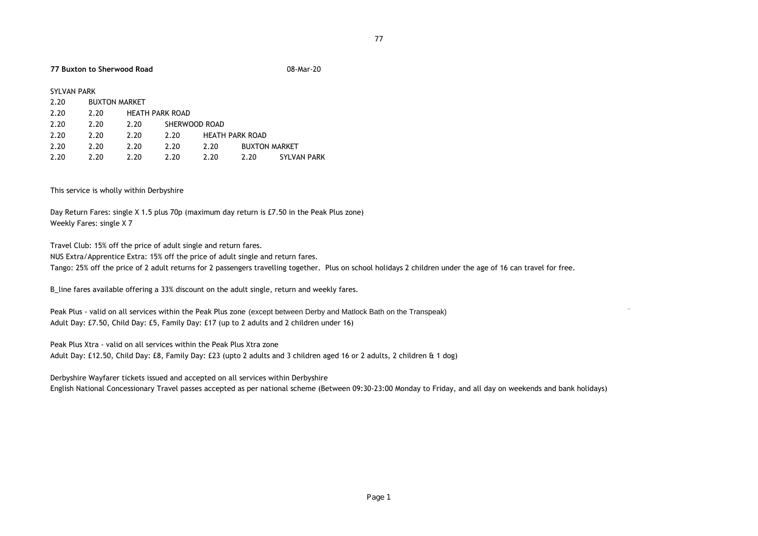## **77 Buxton to Sherwood Road** 08-Mar-20

|--|

| 2.20 | <b>BUXTON MARKET</b> |                        |               |                        |                      |             |
|------|----------------------|------------------------|---------------|------------------------|----------------------|-------------|
| 2.20 | 2.20                 | <b>HEATH PARK ROAD</b> |               |                        |                      |             |
| 2.20 | 2.20                 | 2.20                   | SHERWOOD ROAD |                        |                      |             |
| 2.20 | 2.20                 | 2.20                   | 2.20          | <b>HEATH PARK ROAD</b> |                      |             |
| 2.20 | 2.20                 | 2.20                   | 2.20          | 2.20                   | <b>BUXTON MARKET</b> |             |
| 2.20 | 2.20                 | 2.20                   | 2.20          | 2.20                   | 2.20                 | SYLVAN PARK |

This service is wholly within Derbyshire

Day Return Fares: single X 1.5 plus 70p (maximum day return is £7.50 in the Peak Plus zone) Weekly Fares: single X 7

Travel Club: 15% off the price of adult single and return fares. NUS Extra/Apprentice Extra: 15% off the price of adult single and return fares. Tango: 25% off the price of 2 adult returns for 2 passengers travelling together. Plus on school holidays 2 children under the age of 16 can travel for free.

B\_line fares available offering a 33% discount on the adult single, return and weekly fares.

Peak Plus - valid on all services within the Peak Plus zone (except between Derby and Matlock Bath on the Transpeak) Adult Day: £7.50, Child Day: £5, Family Day: £17 (up to 2 adults and 2 children under 16)

Peak Plus Xtra - valid on all services within the Peak Plus Xtra zone

Adult Day: £12.50, Child Day: £8, Family Day: £23 (upto 2 adults and 3 children aged 16 or 2 adults, 2 children & 1 dog)

Derbyshire Wayfarer tickets issued and accepted on all services within Derbyshire

English National Concessionary Travel passes accepted as per national scheme (Between 09:30-23:00 Monday to Friday, and all day on weekends and bank holidays)